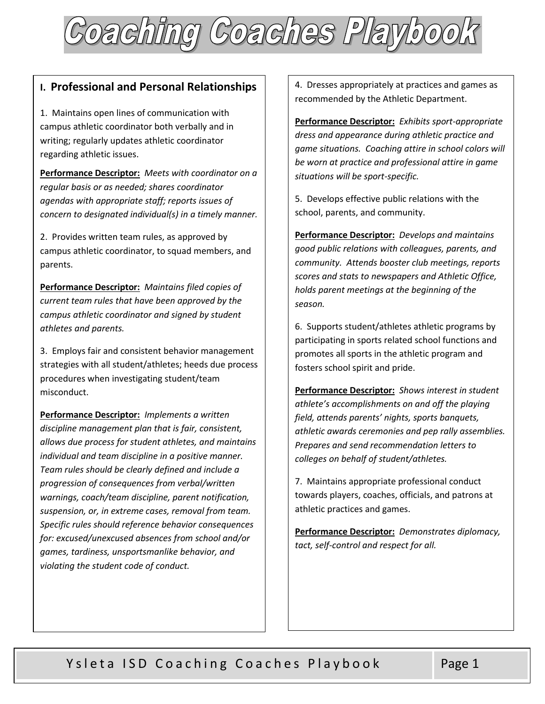

# **I. Professional and Personal Relationships**

1. Maintains open lines of communication with campus athletic coordinator both verbally and in writing; regularly updates athletic coordinator regarding athletic issues.

 **Performance Descriptor:** *Meets with coordinator on a regular basis or as needed; shares coordinator agendas with appropriate staff; reports issues of concern to designated individual(s) in a timely manner.* 

2. Provides written team rules, as approved by campus athletic coordinator, to squad members, and parents.

 **Performance Descriptor:** *Maintains filed copies of current team rules that have been approved by the campus athletic coordinator and signed by student athletes and parents.* 

3. Employs fair and consistent behavior management strategies with all student/athletes; heeds due process procedures when investigating student/team misconduct.

 **Performance Descriptor:** *Implements a written individual and team discipline in a positive manner.* violating the student code of conduct. *discipline management plan that is fair, consistent, allows due process for student athletes, and maintains individual and team discipline in a positive manner. Team rules should be clearly defined and include a progression of consequences from verbal/written warnings, coach/team discipline, parent notification, suspension, or, in extreme cases, removal from team. Specific rules should reference behavior consequences for: excused/unexcused absences from school and/or games, tardiness, unsportsmanlike behavior, and*  **i c**. **Professional and Personal Relationships** <sup>*k.*</sup> Dresses appropriately at presentate particular and games and games and particular conductions with the student conduction with the student conduction with the stude

recommended by the Athletic Department.

 **Performance Descriptor:** *Exhibits sport-appropriate game situations. Coaching attire in school colors will dress and appearance during athletic practice and be worn at practice and professional attire in game situations will be sport-specific.* 

5. Develops effective public relations with the school, parents, and community.

 *community. Attends booster club meetings, reports*  **Performance Descriptor:** *Develops and maintains good public relations with colleagues, parents, and scores and stats to newspapers and Athletic Office, holds parent meetings at the beginning of the season.* 

6. Supports student/athletes athletic programs by participating in sports related school functions and promotes all sports in the athletic program and fosters school spirit and pride.

 **Performance Descriptor:** *Shows interest in student athlete's accomplishments on and off the playing field, attends parents' nights, sports banquets, athletic awards ceremonies and pep rally assemblies. Prepares and send recommendation letters to colleges on behalf of student/athletes.* 

7. Maintains appropriate professional conduct towards players, coaches, officials, and patrons at athletic practices and games.

 **Performance Descriptor:** *Demonstrates diplomacy, tact, self-control and respect for all.*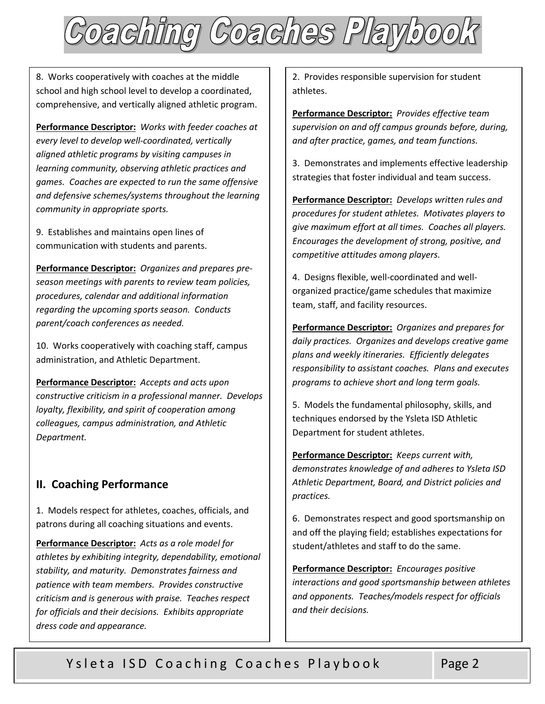

8. Works cooperatively with coaches at the middle school and high school level to develop a coordinated, comprehensive, and vertically aligned athletic program.

 **Performance Descriptor:** *Works with feeder coaches at every level to develop well-coordinated, vertically aligned athletic programs by visiting campuses in learning community, observing athletic practices and games. Coaches are expected to run the same offensive and defensive schemes/systems throughout the learning community in appropriate sports.* 

9. Establishes and maintains open lines of communication with students and parents.

 **Performance Descriptor:** *Organizes and prepares preseason meetings with parents to review team policies, procedures, calendar and additional information regarding the upcoming sports season. Conducts parent/coach conferences as needed.* 

10. Works cooperatively with coaching staff, campus administration, and Athletic Department.

 **Performance Descriptor:** *Accepts and acts upon constructive criticism in a professional manner. Develops loyalty, flexibility, and spirit of cooperation among colleagues, campus administration, and Athletic Department.* 

## **II. Coaching Performance**

 patrons during all coaching situations and events. 1. Models respect for athletes, coaches, officials, and

 **Performance Descriptor:** *Acts as a role model for stability, and maturity. Demonstrates fairness and athletes by exhibiting integrity, dependability, emotional patience with team members. Provides constructive criticism and is generous with praise. Teaches respect for officials and their decisions. Exhibits appropriate dress code and appearance.* 

2. Provides responsible supervision for student athletes.

 **Performance Descriptor:** *Provides effective team supervision on and off campus grounds before, during, and after practice, games, and team functions.* 

3. Demonstrates and implements effective leadership strategies that foster individual and team success.

 **Performance Descriptor:** *Develops written rules and procedures for student athletes. Motivates players to give maximum effort at all times. Coaches all players. Encourages the development of strong, positive, and competitive attitudes among players.* 

4. Designs flexible, well-coordinated and wellorganized practice/game schedules that maximize team, staff, and facility resources.

 **Performance Descriptor:** *Organizes and prepares for daily practices. Organizes and develops creative game plans and weekly itineraries. Efficiently delegates responsibility to assistant coaches. Plans and executes programs to achieve short and long term goals.* 

5. Models the fundamental philosophy, skills, and techniques endorsed by the Ysleta ISD Athletic Department for student athletes.

 **Performance Descriptor:** *Keeps current with, demonstrates knowledge of and adheres to Ysleta ISD Athletic Department, Board, and District policies and practices.* 

 6. Demonstrates respect and good sportsmanship on and off the playing field; establishes expectations for student/athletes and staff to do the same.

 **Performance Descriptor:** *Encourages positive interactions and good sportsmanship between athletes and opponents. Teaches/models respect for officials and their decisions.*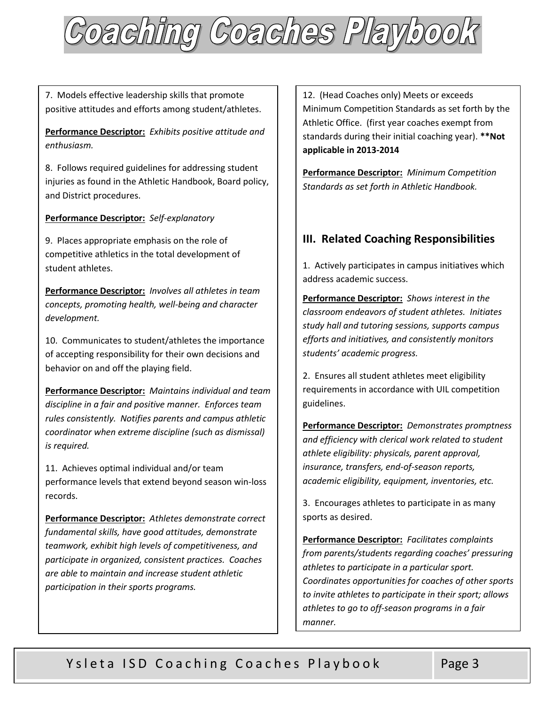

7. Models effective leadership skills that promote positive attitudes and efforts among student/athletes.

 **Performance Descriptor:** *Exhibits positive attitude and enthusiasm.* 

8. Follows required guidelines for addressing student injuries as found in the Athletic Handbook, Board policy, and District procedures.

## **Performance Descriptor:** *Self-explanatory*

9. Places appropriate emphasis on the role of competitive athletics in the total development of student athletes.

 **Performance Descriptor:** *Involves all athletes in team concepts, promoting health, well-being and character development.* 

10. Communicates to student/athletes the importance of accepting responsibility for their own decisions and behavior on and off the playing field.

 **Performance Descriptor:** *Maintains individual and team discipline in a fair and positive manner. Enforces team rules consistently. Notifies parents and campus athletic coordinator when extreme discipline (such as dismissal) is required.* 

11. Achieves optimal individual and/or team performance levels that extend beyond season win-loss records.

 **Performance Descriptor:** *Athletes demonstrate correct fundamental skills, have good attitudes, demonstrate teamwork, exhibit high levels of competitiveness, and participate in organized, consistent practices. Coaches are able to maintain and increase student athletic participation in their sports programs.* 

 **applicable in 2013-2014**  12. (Head Coaches only) Meets or exceeds Minimum Competition Standards as set forth by the Athletic Office. (first year coaches exempt from standards during their initial coaching year). **\*\*Not** 

 **Performance Descriptor:** *Minimum Competition Standards as set forth in Athletic Handbook.* 

# **III. Related Coaching Responsibilities**

1. Actively participates in campus initiatives which address academic success.

 *efforts and initiatives, and consistently monitors*  **Performance Descriptor:** *Shows interest in the classroom endeavors of student athletes. Initiates study hall and tutoring sessions, supports campus students' academic progress.*

2. Ensures all student athletes meet eligibility requirements in accordance with UIL competition guidelines.

 **Performance Descriptor:** *Demonstrates promptness and efficiency with clerical work related to student athlete eligibility: physicals, parent approval, insurance, transfers, end-of-season reports, academic eligibility, equipment, inventories, etc.* 

3. Encourages athletes to participate in as many sports as desired.

 **Performance Descriptor:** *Facilitates complaints from parents/students regarding coaches' pressuring athletes to participate in a particular sport. Coordinates opportunities for coaches of other sports to invite athletes to participate in their sport; allows athletes to go to off-season programs in a fair manner.*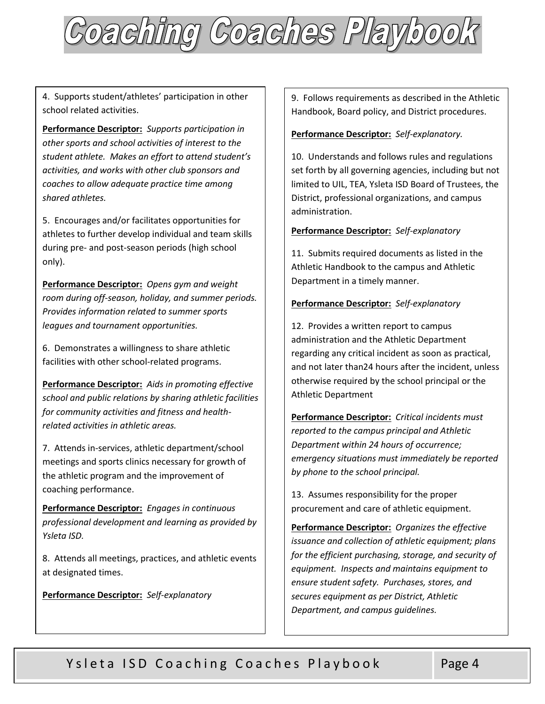

4. Supports student/athletes' participation in other school related activities.

 **Performance Descriptor:** *Supports participation in other sports and school activities of interest to the student athlete. Makes an effort to attend student's activities, and works with other club sponsors and coaches to allow adequate practice time among shared athletes.* 

5. Encourages and/or facilitates opportunities for athletes to further develop individual and team skills during pre- and post-season periods (high school only).

 **Performance Descriptor:** *Opens gym and weight room during off-season, holiday, and summer periods. Provides information related to summer sports leagues and tournament opportunities.* 

6. Demonstrates a willingness to share athletic facilities with other school-related programs.

 **Performance Descriptor:** *Aids in promoting effective school and public relations by sharing athletic facilities for community activities and fitness and healthrelated activities in athletic areas.* 

7. Attends in-services, athletic department/school meetings and sports clinics necessary for growth of the athletic program and the improvement of coaching performance.

 **Performance Descriptor:** *Engages in continuous professional development and learning as provided by Ysleta ISD.* 

8. Attends all meetings, practices, and athletic events at designated times.

## **Performance Descriptor:** *Self-explanatory*

9. Follows requirements as described in the Athletic Handbook, Board policy, and District procedures.

### **Performance Descriptor:** *Self-explanatory.*

10. Understands and follows rules and regulations set forth by all governing agencies, including but not limited to UIL, TEA, Ysleta ISD Board of Trustees, the District, professional organizations, and campus administration.

#### **Performance Descriptor:** *Self-explanatory*

11. Submits required documents as listed in the Athletic Handbook to the campus and Athletic Department in a timely manner.

#### **Performance Descriptor:** *Self-explanatory*

12. Provides a written report to campus administration and the Athletic Department regarding any critical incident as soon as practical, and not later than24 hours after the incident, unless otherwise required by the school principal or the Athletic Department

 **Performance Descriptor:** *Critical incidents must by phone to the school principal. reported to the campus principal and Athletic Department within 24 hours of occurrence; emergency situations must immediately be reported* 

13. Assumes responsibility for the proper procurement and care of athletic equipment.

 **Performance Descriptor:** *Organizes the effective issuance and collection of athletic equipment; plans for the efficient purchasing, storage, and security of equipment. Inspects and maintains equipment to ensure student safety. Purchases, stores, and secures equipment as per District, Athletic Department, and campus guidelines.*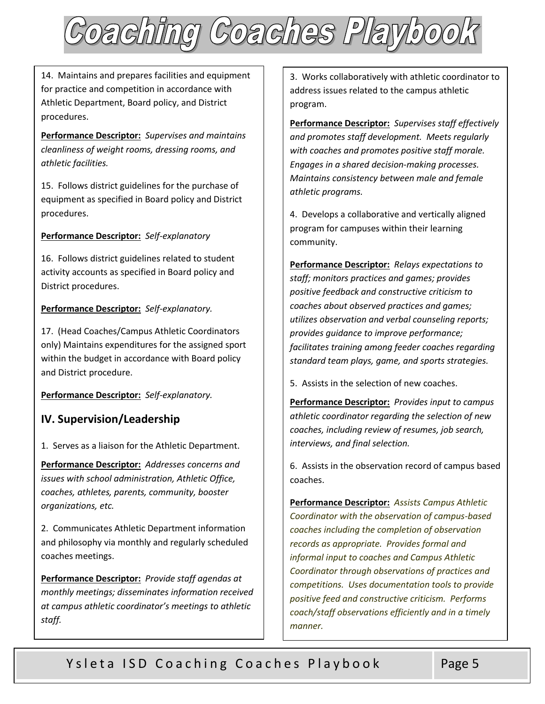

14. Maintains and prepares facilities and equipment for practice and competition in accordance with Athletic Department, Board policy, and District procedures.

 **Performance Descriptor:** *Supervises and maintains cleanliness of weight rooms, dressing rooms, and athletic facilities.* 

15. Follows district guidelines for the purchase of equipment as specified in Board policy and District procedures.

## **Performance Descriptor:** *Self-explanatory*

16. Follows district guidelines related to student activity accounts as specified in Board policy and District procedures.

## **Performance Descriptor:** *Self-explanatory.*

17. (Head Coaches/Campus Athletic Coordinators only) Maintains expenditures for the assigned sport within the budget in accordance with Board policy and District procedure.

 **Performance Descriptor:** *Self-explanatory.* 

## **IV. Supervision/Leadership**

1. Serves as a liaison for the Athletic Department.

 **Performance Descriptor:** *Addresses concerns and issues with school administration, Athletic Office, coaches, athletes, parents, community, booster organizations, etc.* 

2. Communicates Athletic Department information and philosophy via monthly and regularly scheduled coaches meetings.

 **Performance Descriptor:** *Provide staff agendas at monthly meetings; disseminates information received at campus athletic coordinator's meetings to athletic staff.* 

3. Works collaboratively with athletic coordinator to address issues related to the campus athletic program.

 **Performance Descriptor:** *Supervises staff effectively and promotes staff development. Meets regularly with coaches and promotes positive staff morale. Engages in a shared decision-making processes. Maintains consistency between male and female athletic programs.* 

4. Develops a collaborative and vertically aligned program for campuses within their learning community.

 **Performance Descriptor:** *Relays expectations to staff; monitors practices and games; provides positive feedback and constructive criticism to coaches about observed practices and games; utilizes observation and verbal counseling reports; provides guidance to improve performance; facilitates training among feeder coaches regarding standard team plays, game, and sports strategies.* 

5. Assists in the selection of new coaches.

 **Performance Descriptor:** *Provides input to campus athletic coordinator regarding the selection of new coaches, including review of resumes, job search, interviews, and final selection.* 

6. Assists in the observation record of campus based coaches.

 **Performance Descriptor:** *Assists Campus Athletic Coordinator with the observation of campus-based coaches including the completion of observation records as appropriate. Provides formal and informal input to coaches and Campus Athletic Coordinator through observations of practices and competitions. Uses documentation tools to provide positive feed and constructive criticism. Performs coach/staff observations efficiently and in a timely manner.*